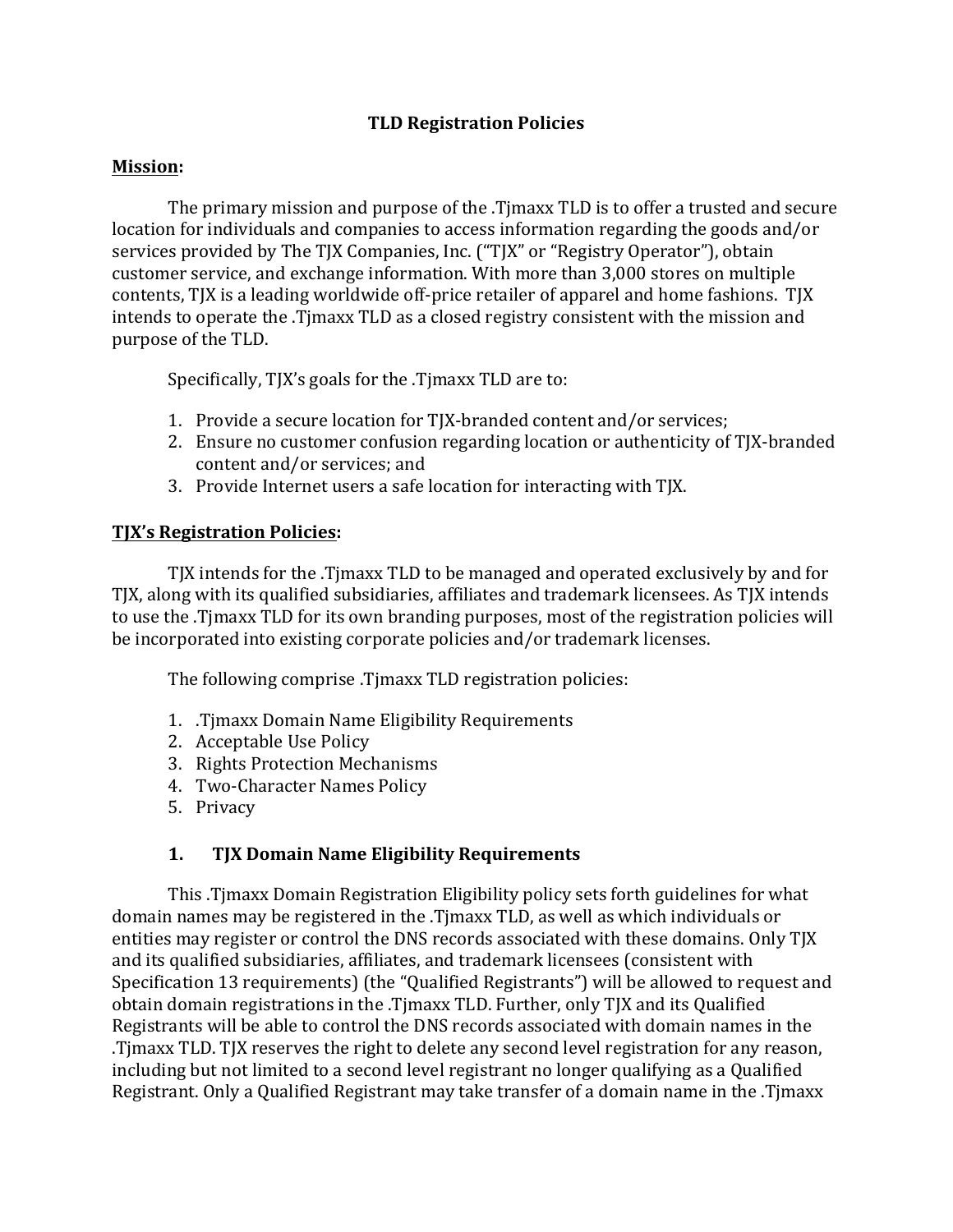### **TLD Registration Policies**

#### **Mission:**

The primary mission and purpose of the .Timaxx TLD is to offer a trusted and secure location for individuals and companies to access information regarding the goods and/or services provided by The TJX Companies, Inc. ("TJX" or "Registry Operator"), obtain customer service, and exchange information. With more than 3,000 stores on multiple contents, TJX is a leading worldwide off-price retailer of apparel and home fashions. TJX intends to operate the .Timaxx TLD as a closed registry consistent with the mission and purpose of the TLD.

Specifically,  $T|X'$ s goals for the .Timaxx  $TLD$  are to:

- 1. Provide a secure location for TJX-branded content and/or services;
- 2. Ensure no customer confusion regarding location or authenticity of TJX-branded content and/or services; and
- 3. Provide Internet users a safe location for interacting with TJX.

#### **TJX's Registration Policies:**

TJX intends for the .Timaxx TLD to be managed and operated exclusively by and for TJX, along with its qualified subsidiaries, affiliates and trademark licensees. As TJX intends to use the .Timaxx TLD for its own branding purposes, most of the registration policies will be incorporated into existing corporate policies and/or trademark licenses.

The following comprise .Timaxx TLD registration policies:

- 1. .Tjmaxx Domain Name Eligibility Requirements
- 2. Acceptable Use Policy
- 3. Rights Protection Mechanisms
- 4. Two-Character Names Policy
- 5. Privacy

### 1. TJX Domain Name Eligibility Requirements

This .Timaxx Domain Registration Eligibility policy sets forth guidelines for what domain names may be registered in the .Timaxx TLD, as well as which individuals or entities may register or control the DNS records associated with these domains. Only TJX and its qualified subsidiaries, affiliates, and trademark licensees (consistent with Specification 13 requirements) (the "Qualified Registrants") will be allowed to request and obtain domain registrations in the .Timaxx TLD. Further, only TJX and its Qualified Registrants will be able to control the DNS records associated with domain names in the .Timaxx TLD. TJX reserves the right to delete any second level registration for any reason, including but not limited to a second level registrant no longer qualifying as a Qualified Registrant. Only a Qualified Registrant may take transfer of a domain name in the .Timaxx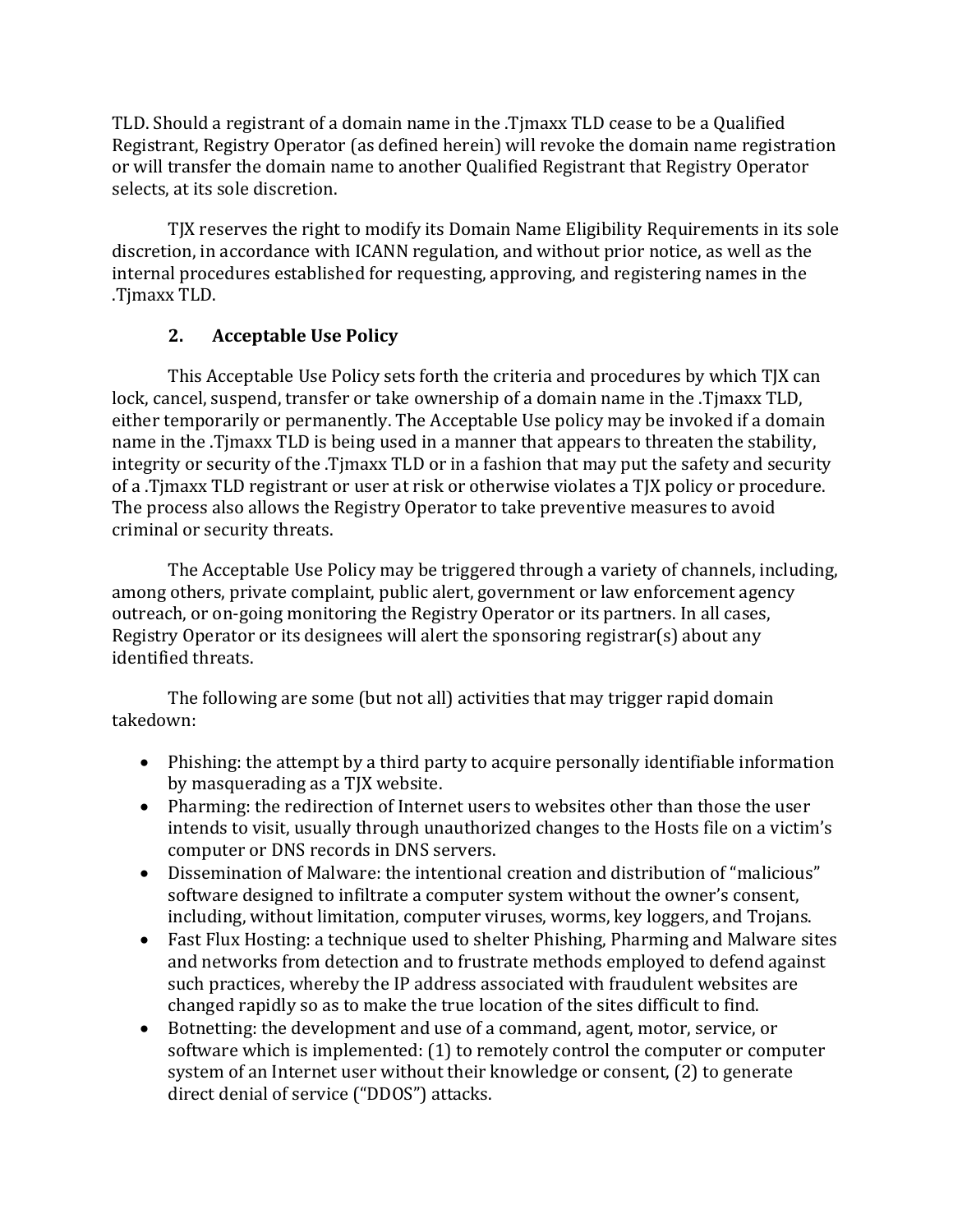TLD. Should a registrant of a domain name in the .Timaxx TLD cease to be a Qualified Registrant, Registry Operator (as defined herein) will revoke the domain name registration or will transfer the domain name to another Qualified Registrant that Registry Operator selects, at its sole discretion.

TJX reserves the right to modify its Domain Name Eligibility Requirements in its sole discretion, in accordance with ICANN regulation, and without prior notice, as well as the internal procedures established for requesting, approving, and registering names in the .Tjmaxx TLD. 

# **2.** Acceptable Use Policy

This Acceptable Use Policy sets forth the criteria and procedures by which TJX can lock, cancel, suspend, transfer or take ownership of a domain name in the .Timaxx TLD, either temporarily or permanently. The Acceptable Use policy may be invoked if a domain name in the .Timaxx TLD is being used in a manner that appears to threaten the stability, integrity or security of the .Timaxx TLD or in a fashion that may put the safety and security of a .Timaxx TLD registrant or user at risk or otherwise violates a TJX policy or procedure. The process also allows the Registry Operator to take preventive measures to avoid criminal or security threats.

The Acceptable Use Policy may be triggered through a variety of channels, including, among others, private complaint, public alert, government or law enforcement agency outreach, or on-going monitoring the Registry Operator or its partners. In all cases, Registry Operator or its designees will alert the sponsoring registrar(s) about any identified threats.

The following are some (but not all) activities that may trigger rapid domain takedown: 

- Phishing: the attempt by a third party to acquire personally identifiable information by masquerading as a TJX website.
- Pharming: the redirection of Internet users to websites other than those the user intends to visit, usually through unauthorized changes to the Hosts file on a victim's computer or DNS records in DNS servers.
- Dissemination of Malware: the intentional creation and distribution of "malicious" software designed to infiltrate a computer system without the owner's consent, including, without limitation, computer viruses, worms, key loggers, and Trojans.
- Fast Flux Hosting: a technique used to shelter Phishing, Pharming and Malware sites and networks from detection and to frustrate methods employed to defend against such practices, whereby the IP address associated with fraudulent websites are changed rapidly so as to make the true location of the sites difficult to find.
- Botnetting: the development and use of a command, agent, motor, service, or software which is implemented:  $(1)$  to remotely control the computer or computer system of an Internet user without their knowledge or consent, (2) to generate direct denial of service ("DDOS") attacks.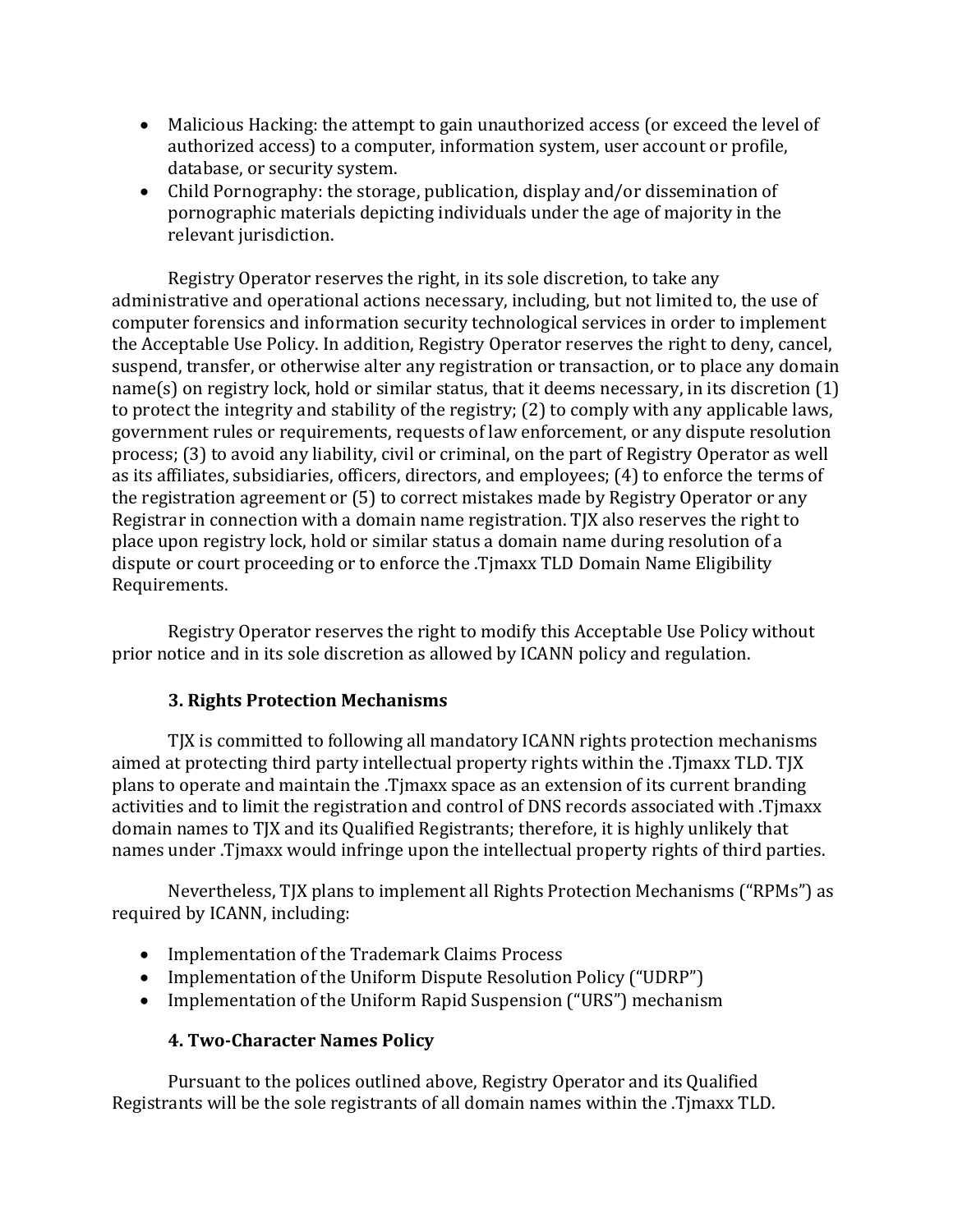- Malicious Hacking: the attempt to gain unauthorized access (or exceed the level of authorized access) to a computer, information system, user account or profile, database, or security system.
- Child Pornography: the storage, publication, display and/or dissemination of pornographic materials depicting individuals under the age of majority in the relevant jurisdiction.

Registry Operator reserves the right, in its sole discretion, to take any administrative and operational actions necessary, including, but not limited to, the use of computer forensics and information security technological services in order to implement the Acceptable Use Policy. In addition, Registry Operator reserves the right to deny, cancel, suspend, transfer, or otherwise alter any registration or transaction, or to place any domain  $name(s)$  on registry lock, hold or similar status, that it deems necessary, in its discretion  $(1)$ to protect the integrity and stability of the registry;  $(2)$  to comply with any applicable laws, government rules or requirements, requests of law enforcement, or any dispute resolution process; (3) to avoid any liability, civil or criminal, on the part of Registry Operator as well as its affiliates, subsidiaries, officers, directors, and employees; (4) to enforce the terms of the registration agreement or  $(5)$  to correct mistakes made by Registry Operator or any Registrar in connection with a domain name registration. TJX also reserves the right to place upon registry lock, hold or similar status a domain name during resolution of a dispute or court proceeding or to enforce the .Tjmaxx TLD Domain Name Eligibility Requirements.

Registry Operator reserves the right to modify this Acceptable Use Policy without prior notice and in its sole discretion as allowed by ICANN policy and regulation.

# **3. Rights Protection Mechanisms**

TJX is committed to following all mandatory ICANN rights protection mechanisms aimed at protecting third party intellectual property rights within the .Timaxx TLD. TJX plans to operate and maintain the .Timaxx space as an extension of its current branding activities and to limit the registration and control of DNS records associated with .Timaxx domain names to TJX and its Qualified Registrants; therefore, it is highly unlikely that names under .Tjmaxx would infringe upon the intellectual property rights of third parties.

Nevertheless, TJX plans to implement all Rights Protection Mechanisms ("RPMs") as required by ICANN, including:

- Implementation of the Trademark Claims Process
- Implementation of the Uniform Dispute Resolution Policy ("UDRP")
- Implementation of the Uniform Rapid Suspension ("URS") mechanism

### **4. Two-Character Names Policy**

Pursuant to the polices outlined above, Registry Operator and its Qualified Registrants will be the sole registrants of all domain names within the .Timaxx TLD.